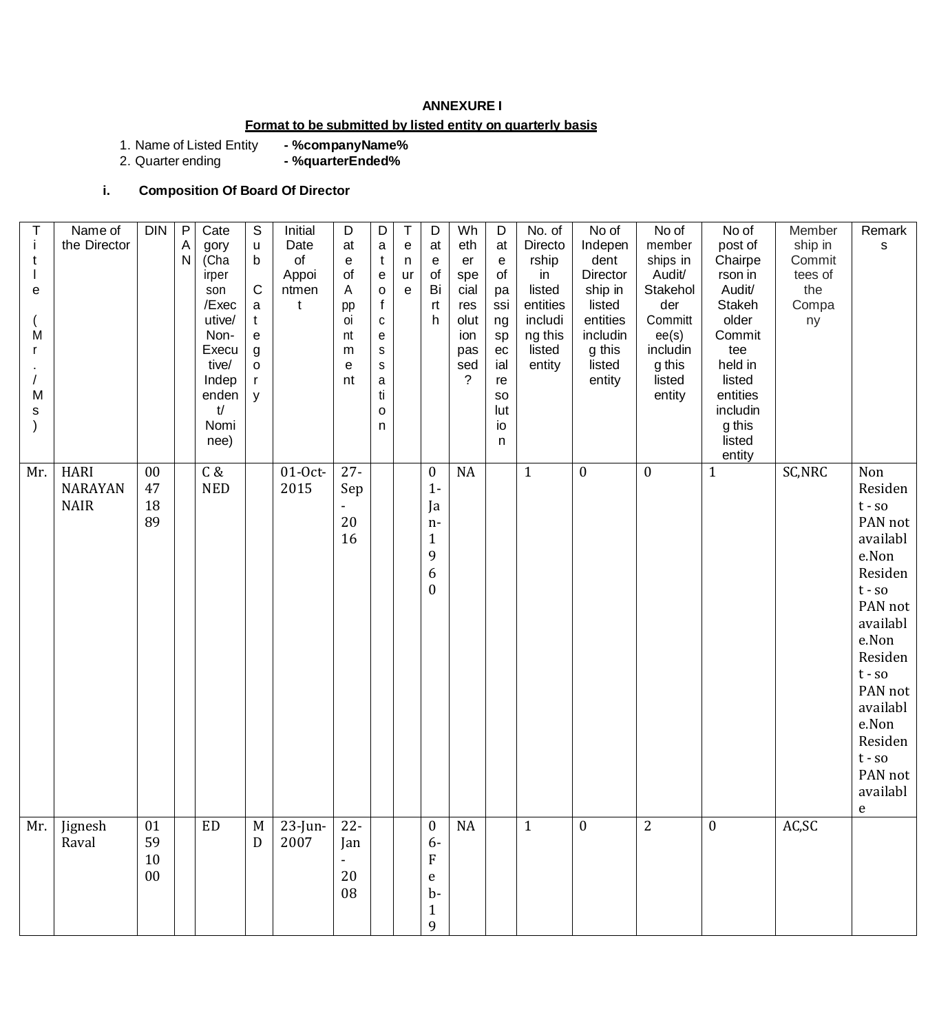### **ANNEXURE I**

## **Format to be submitted by listed entity on quarterly basis**

1. Name of Listed Entity<br>2. Quarter ending - %companyName%<br>- %quarterEnded%

# **i. Composition Of Board Of Director**

| j.<br>t<br>е<br>M<br>M<br>s | Name of<br>the Director                      | <b>DIN</b>           | $\mathsf{P}$<br>A<br>$\mathsf{N}$ | Cate<br>gory<br>(Cha<br>irper<br>son<br>/Exec<br>utive/<br>Non-<br>Execu<br>tive/<br>Indep<br>enden<br>t/<br>Nomi<br>nee) | S<br>$\sf u$<br>$\mathsf b$<br>$\mathsf C$<br>a<br>$\mathbf t$<br>e<br>$\boldsymbol{g}$<br>$\mathsf{o}$<br>$\mathsf{r}$<br>y | Initial<br>Date<br>of<br>Appoi<br>ntmen<br>t | D<br>at<br>$\mathbf e$<br>of<br>Α<br>pp<br>oi<br>nt<br>m<br>e<br>nt | D<br>$\mathsf a$<br>$\mathsf{t}$<br>${\bf e}$<br>$\mathsf{o}$<br>$\mathsf{f}$<br>${\bf c}$<br>e<br>$\mathsf S$<br>$\mathbf S$<br>a<br>ti<br>$\circ$<br>n | $\mathsf T$<br>e<br>n<br>ur<br>e | D<br>at<br>e<br>of<br>Bi<br>rt<br>h                                                   | Wh<br>eth<br>er<br>spe<br>cial<br>res<br>olut<br>ion<br>pas<br>sed<br>? | $\mathsf D$<br>at<br>e<br>of<br>pa<br>ssi<br>ng<br>sp<br>ec<br>ial<br>re<br>so<br>lut<br>io<br>n | No. of<br>Directo<br>rship<br>in<br>listed<br>entities<br>includi<br>ng this<br>listed<br>entity | No of<br>Indepen<br>dent<br>Director<br>ship in<br>listed<br>entities<br>includin<br>g this<br>listed<br>entity | No of<br>member<br>ships in<br>Audit/<br>Stakehol<br>der<br>Committ<br>ee(s)<br>includin<br>g this<br>listed<br>entity | No of<br>post of<br>Chairpe<br>rson in<br>Audit/<br>Stakeh<br>older<br>Commit<br>tee<br>held in<br>listed<br>entities<br>includin<br>g this<br>listed<br>entity | Member<br>ship in<br>Commit<br>tees of<br>the<br>Compa<br>ny | Remark<br>$\mathsf{s}$                                                                                                                                                                                                      |
|-----------------------------|----------------------------------------------|----------------------|-----------------------------------|---------------------------------------------------------------------------------------------------------------------------|------------------------------------------------------------------------------------------------------------------------------|----------------------------------------------|---------------------------------------------------------------------|----------------------------------------------------------------------------------------------------------------------------------------------------------|----------------------------------|---------------------------------------------------------------------------------------|-------------------------------------------------------------------------|--------------------------------------------------------------------------------------------------|--------------------------------------------------------------------------------------------------|-----------------------------------------------------------------------------------------------------------------|------------------------------------------------------------------------------------------------------------------------|-----------------------------------------------------------------------------------------------------------------------------------------------------------------|--------------------------------------------------------------|-----------------------------------------------------------------------------------------------------------------------------------------------------------------------------------------------------------------------------|
| Mr.                         | <b>HARI</b><br><b>NARAYAN</b><br><b>NAIR</b> | 00<br>47<br>18<br>89 |                                   | C &<br><b>NED</b>                                                                                                         |                                                                                                                              | $01-0ct$<br>2015                             | $27 -$<br>Sep<br>20<br>16                                           |                                                                                                                                                          |                                  | $\boldsymbol{0}$<br>$1 -$<br>Ja<br>$n-$<br>$\mathbf{1}$<br>9<br>6<br>$\boldsymbol{0}$ | <b>NA</b>                                                               |                                                                                                  | $\mathbf{1}$                                                                                     | $\boldsymbol{0}$                                                                                                | $\boldsymbol{0}$                                                                                                       | $\mathbf{1}$                                                                                                                                                    | SC, NRC                                                      | Non<br>Residen<br>$t - so$<br>PAN not<br>availabl<br>e.Non<br>Residen<br>$t - so$<br>PAN not<br>availabl<br>e.Non<br>Residen<br>$t - so$<br>PAN not<br>availabl<br>e.Non<br>Residen<br>$t - so$<br>PAN not<br>availabl<br>e |
| Mr.                         | Jignesh<br>Raval                             | 01<br>59<br>10<br>00 |                                   | <b>ED</b>                                                                                                                 | M<br>D                                                                                                                       | $23$ -Jun-<br>2007                           | $22 -$<br>Jan<br>$\frac{1}{2}$<br>20<br>08                          |                                                                                                                                                          |                                  | $\mathbf{0}$<br>$6-$<br>${\bf F}$<br>e<br>$b-$<br>$\mathbf{1}$<br>9                   | <b>NA</b>                                                               |                                                                                                  | $\mathbf{1}$                                                                                     | $\mathbf{0}$                                                                                                    | $\overline{2}$                                                                                                         | $\mathbf{0}$                                                                                                                                                    | AC,SC                                                        |                                                                                                                                                                                                                             |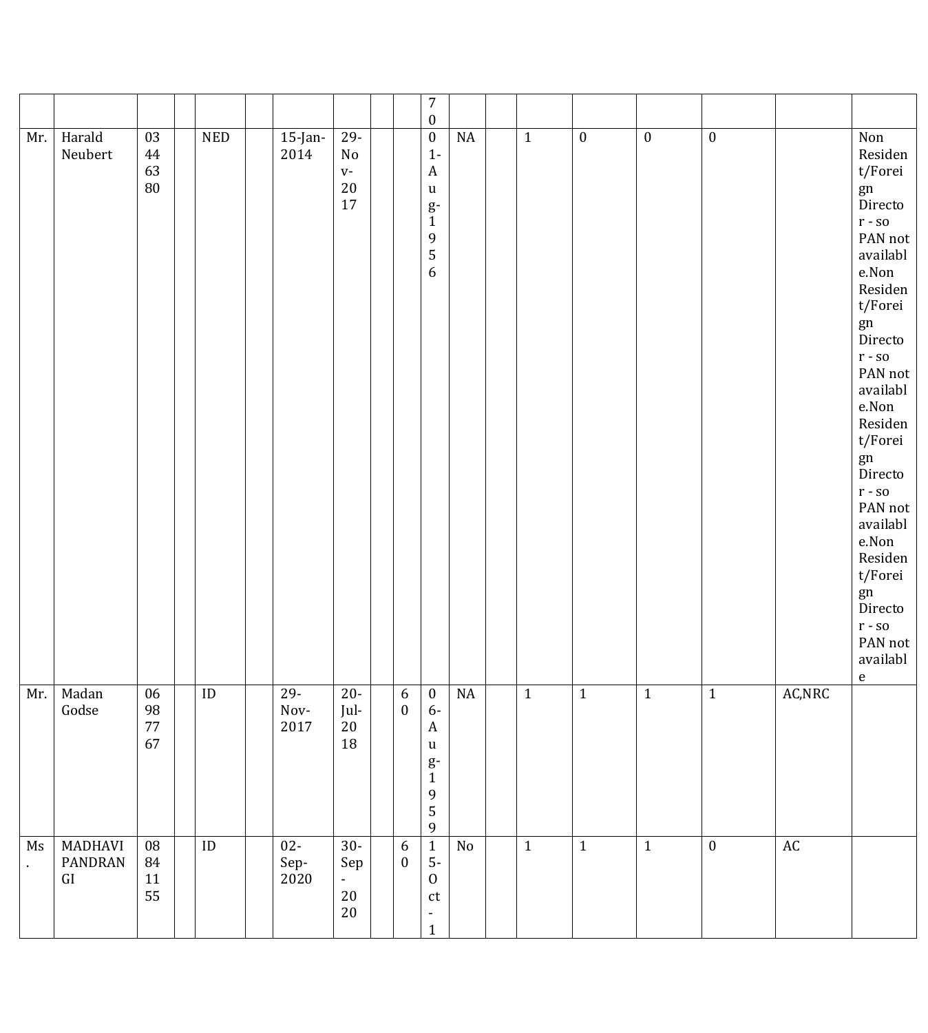|     |                                         |                          |                             |                             |                                                    |                                      | $\boldsymbol{7}$<br>$\boldsymbol{0}$                                                                               |          |              |                  |                  |                  |                              |                                                                                                                                                                                                                                                                                                                                                                                                                   |
|-----|-----------------------------------------|--------------------------|-----------------------------|-----------------------------|----------------------------------------------------|--------------------------------------|--------------------------------------------------------------------------------------------------------------------|----------|--------------|------------------|------------------|------------------|------------------------------|-------------------------------------------------------------------------------------------------------------------------------------------------------------------------------------------------------------------------------------------------------------------------------------------------------------------------------------------------------------------------------------------------------------------|
| Mr. | Harald<br>Neubert                       | 03<br>44<br>63<br>80     | $\ensuremath{\mathsf{NED}}$ | $15$ -Jan-<br>2014          | $29 -$<br>$\rm No$<br>$V -$<br>$20\,$<br>17        |                                      | $\boldsymbol{0}$<br>$1 -$<br>$\boldsymbol{A}$<br>$\mathbf u$<br>$g-$<br>$\mathbf{1}$<br>9<br>5<br>$\boldsymbol{6}$ | $\rm NA$ | $1\,$        | $\boldsymbol{0}$ | $\boldsymbol{0}$ | $\boldsymbol{0}$ |                              | Non<br>Residen<br>t/Forei<br>gn<br>Directo<br>$\mathbf{r}$ - so<br>PAN not<br>availabl<br>$\operatorname{e.Non}$<br>Residen<br>t/Forei<br>gn<br>Directo<br>$\mathbf{r}$ - so<br>PAN not<br>availabl<br>e.Non<br>Residen<br>t/Forei<br>gn<br>Directo<br>$\mathbf{r}$ - so<br>PAN not<br>availabl<br>$\operatorname{e.Non}$<br>Residen<br>t/Forei<br>gn<br>Directo<br>$\mathbf{r}$ - so<br>PAN not<br>availabl<br>e |
| Mr. | Madan<br>Godse                          | 06<br>98<br>$77\,$<br>67 | $\mathsf{ID}$               | $29 -$<br>$\,$ Nov-<br>2017 | $20-$<br>Jul-<br>20<br>18                          | $\boldsymbol{6}$<br>$\bf{0}$         | $\bf{0}$<br>$6-$<br>$\mathbf{A}$<br>$\mathbf u$<br>$g-$<br>$\mathbf{1}$<br>9<br>5<br>9                             | $\rm NA$ | $\mathbf{1}$ | $\mathbf{1}$     | $\mathbf{1}$     | $\mathbf{1}$     | $\mathsf{AC},\!\mathsf{NRC}$ |                                                                                                                                                                                                                                                                                                                                                                                                                   |
| Ms  | <b>MADHAVI</b><br>PANDRAN<br>${\rm GI}$ | 08<br>84<br>11<br>55     | $\rm ID$                    | $02-$<br>Sep-<br>2020       | $30-$<br>Sep<br>$\blacksquare$<br>$20\,$<br>$20\,$ | $\boldsymbol{6}$<br>$\boldsymbol{0}$ | $\overline{1}$<br>$5-$<br>$\mathbf{0}$<br>$\mathsf{ct}$<br>$\blacksquare$<br>$\mathbf 1$                           | No       | $1\,$        | $1\,$            | $1\,$            | $\mathbf{0}$     | $\mathbb{A}\mathbb{C}$       |                                                                                                                                                                                                                                                                                                                                                                                                                   |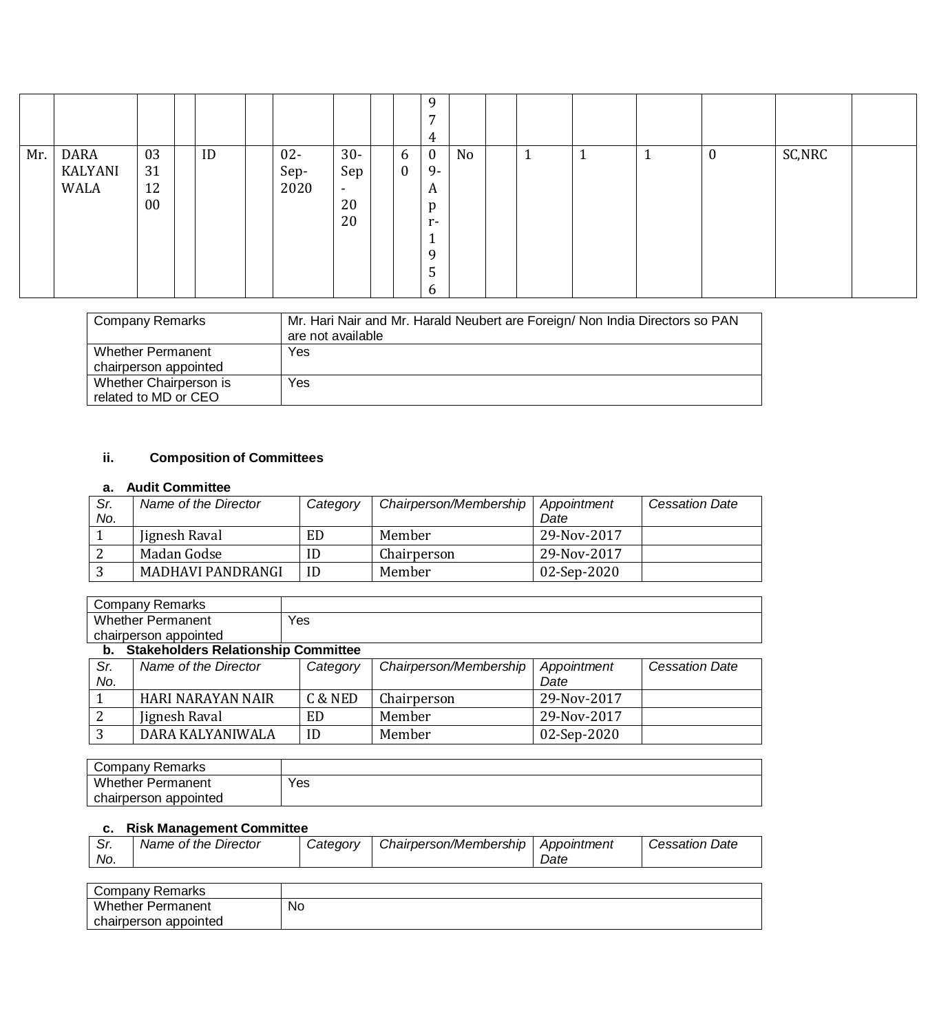|     |                         |                      |    |                        |                                                      |               | 9<br>$\overline{ }$<br>4                                                          |    |              |   |   |                  |        |
|-----|-------------------------|----------------------|----|------------------------|------------------------------------------------------|---------------|-----------------------------------------------------------------------------------|----|--------------|---|---|------------------|--------|
| Mr. | DARA<br>KALYANI<br>WALA | 03<br>31<br>12<br>00 | ID | $02 -$<br>Sep-<br>2020 | $30-$<br>Sep<br>$\overline{\phantom{a}}$<br>20<br>20 | 6<br>$\bf{0}$ | $\bf{0}$<br>9-<br>A<br>p<br>$r-$<br>$\overline{ }$<br>$\mathbf{r}$<br>9<br>5<br>6 | No | $\mathbf{1}$ | ᅩ | 1 | $\boldsymbol{0}$ | SC,NRC |

| Company Remarks          | Mr. Hari Nair and Mr. Harald Neubert are Foreign/ Non India Directors so PAN<br>are not available |
|--------------------------|---------------------------------------------------------------------------------------------------|
| <b>Whether Permanent</b> | Yes                                                                                               |
| chairperson appointed    |                                                                                                   |
| Whether Chairperson is   | Yes                                                                                               |
| related to MD or CEO     |                                                                                                   |

## **ii. Composition of Committees**

### **a. Audit Committee**

| Sr. | Name of the Director | Category | Chairperson/Membership | Appointment | <b>Cessation Date</b> |
|-----|----------------------|----------|------------------------|-------------|-----------------------|
| No. |                      |          |                        | Date        |                       |
|     | Jignesh Raval        | ED       | Member                 | 29-Nov-2017 |                       |
|     | Madan Godse          | ID       | Chairperson            | 29-Nov-2017 |                       |
|     | MADHAVI PANDRANGI    | ID       | Member                 | 02-Sep-2020 |                       |

| Company<br>Remarks       |     |
|--------------------------|-----|
| <b>Whether Permanent</b> | Yes |
| chairperson appointed    |     |

#### **b. Stakeholders Relationship Committee**

| Sr. | Name of the Director | Category | Chairperson/Membership | Appointment | <b>Cessation Date</b> |
|-----|----------------------|----------|------------------------|-------------|-----------------------|
| No. |                      |          |                        | Date        |                       |
|     | HARI NARAYAN NAIR    | C & NED  | Chairperson            | 29-Nov-2017 |                       |
|     | Jignesh Raval        | ED       | Member                 | 29-Nov-2017 |                       |
|     | DARA KALYANIWALA     | ID       | Member                 | 02-Sep-2020 |                       |

| Company Remarks          |     |
|--------------------------|-----|
| <b>Whether Permanent</b> | Yes |
| chairperson appointed    |     |

## **c. Risk Management Committee**

| Date |  | Sr.<br>No. | Name of the Director | <i>Catedory</i> | Chairperson/Membership | Appointment | Date<br>essation. ت |
|------|--|------------|----------------------|-----------------|------------------------|-------------|---------------------|
|------|--|------------|----------------------|-----------------|------------------------|-------------|---------------------|

| Company Remarks          |    |
|--------------------------|----|
| <b>Whether Permanent</b> | No |
| chairperson appointed    |    |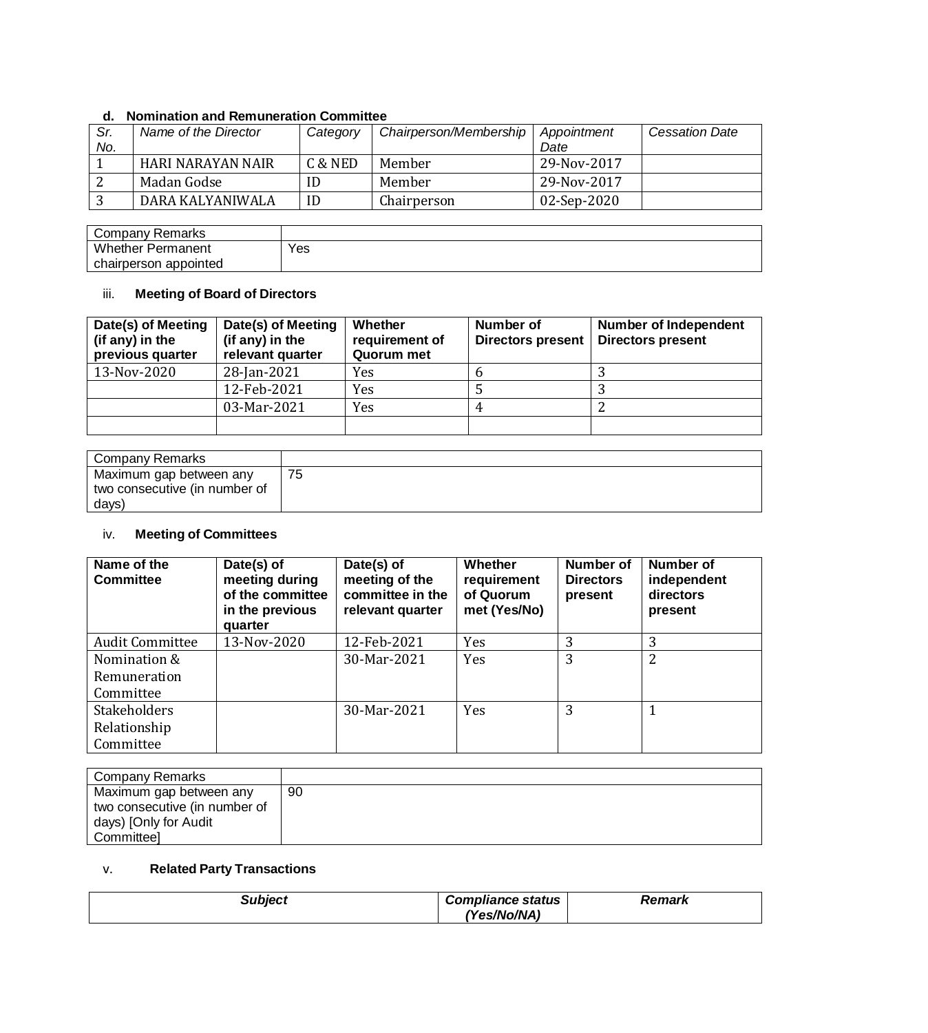### **d. Nomination and Remuneration Committee**

| Sr.<br>No. | Name of the Director | Category | Chairperson/Membership | Appointment<br>Date | <b>Cessation Date</b> |
|------------|----------------------|----------|------------------------|---------------------|-----------------------|
|            | HARI NARAYAN NAIR    | C & NED  | Member                 | 29-Nov-2017         |                       |
|            | Madan Godse          | ID       | Member                 | 29-Nov-2017         |                       |
|            | DARA KALYANIWALA     | ID       | Chairperson            | 02-Sep-2020         |                       |

| Company Remarks          |     |
|--------------------------|-----|
| <b>Whether Permanent</b> | Yes |
| chairperson appointed    |     |

## iii. **Meeting of Board of Directors**

| Date(s) of Meeting<br>(if any) in the<br>previous quarter | Date(s) of Meeting<br>(if any) in the<br>relevant quarter | Whether<br>requirement of<br>Quorum met | Number of<br><b>Directors present</b> | <b>Number of Independent</b><br><b>Directors present</b> |
|-----------------------------------------------------------|-----------------------------------------------------------|-----------------------------------------|---------------------------------------|----------------------------------------------------------|
| 13-Nov-2020                                               | 28-Jan-2021                                               | <b>Yes</b>                              |                                       |                                                          |
|                                                           | 12-Feb-2021                                               | Yes                                     |                                       |                                                          |
|                                                           | 03-Mar-2021                                               | Yes                                     |                                       |                                                          |
|                                                           |                                                           |                                         |                                       |                                                          |

| Company Remarks               |    |
|-------------------------------|----|
| Maximum gap between any       | 75 |
| two consecutive (in number of |    |
| days)                         |    |

## iv. **Meeting of Committees**

| Name of the<br><b>Committee</b> | Date(s) of<br>meeting during<br>of the committee<br>in the previous<br>quarter | Date(s) of<br>meeting of the<br>committee in the<br>relevant quarter | Whether<br>requirement<br>of Quorum<br>met (Yes/No) | Number of<br><b>Directors</b><br>present | Number of<br>independent<br>directors<br>present |
|---------------------------------|--------------------------------------------------------------------------------|----------------------------------------------------------------------|-----------------------------------------------------|------------------------------------------|--------------------------------------------------|
| <b>Audit Committee</b>          | 13-Nov-2020                                                                    | 12-Feb-2021                                                          | Yes                                                 | 3                                        | 3                                                |
| Nomination &                    |                                                                                | 30-Mar-2021                                                          | Yes                                                 | 3                                        | 2                                                |
| Remuneration                    |                                                                                |                                                                      |                                                     |                                          |                                                  |
| Committee                       |                                                                                |                                                                      |                                                     |                                          |                                                  |
| <b>Stakeholders</b>             |                                                                                | 30-Mar-2021                                                          | Yes                                                 | 3                                        | 1                                                |
| Relationship                    |                                                                                |                                                                      |                                                     |                                          |                                                  |
| Committee                       |                                                                                |                                                                      |                                                     |                                          |                                                  |

| Company Remarks               |    |
|-------------------------------|----|
| Maximum gap between any       | 90 |
| two consecutive (in number of |    |
| days) [Only for Audit         |    |
| Committeel                    |    |

## v. **Related Party Transactions**

| Subject | <b>Compliance status</b> | <b>Remark</b> |  |
|---------|--------------------------|---------------|--|
|         | 'Yes/No/NA)              |               |  |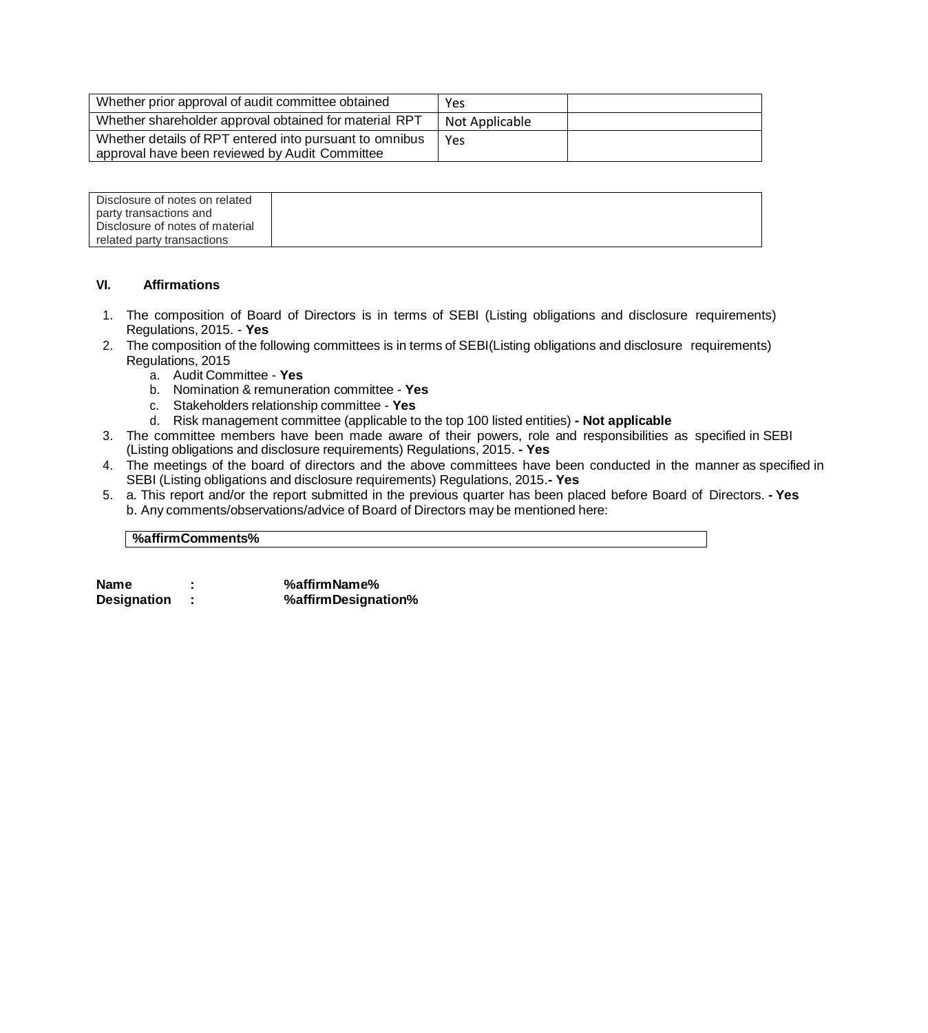| Whether prior approval of audit committee obtained                                                        | Yes            |  |
|-----------------------------------------------------------------------------------------------------------|----------------|--|
| Whether shareholder approval obtained for material RPT                                                    | Not Applicable |  |
| Whether details of RPT entered into pursuant to omnibus<br>approval have been reviewed by Audit Committee | Yes            |  |

| Disclosure of notes on related  |  |
|---------------------------------|--|
| party transactions and          |  |
| Disclosure of notes of material |  |
| related party transactions      |  |

#### **VI. Affirmations**

- 1. The composition of Board of Directors is in terms of SEBI (Listing obligations and disclosure requirements) Regulations, 2015. - **Yes**
- 2. The composition of the following committees is in terms of SEBI(Listing obligations and disclosure requirements) Regulations, 2015
	- a. Audit Committee **Yes**
	- b. Nomination & remuneration committee **Yes**
	- c. Stakeholders relationship committee **Yes**
	- d. Risk management committee (applicable to the top 100 listed entities) **- Not applicable**
- 3. The committee members have been made aware of their powers, role and responsibilities as specified in SEBI (Listing obligations and disclosure requirements) Regulations, 2015. **- Yes**
- 4. The meetings of the board of directors and the above committees have been conducted in the manner as specified in SEBI (Listing obligations and disclosure requirements) Regulations, 2015.**- Yes**
- 5. a. This report and/or the report submitted in the previous quarter has been placed before Board of Directors. **- Yes** b. Any comments/observations/advice of Board of Directors may be mentioned here:

#### **%affirmComments%**

| Name        | %affirmName%        |
|-------------|---------------------|
| Designation | %affirmDesignation% |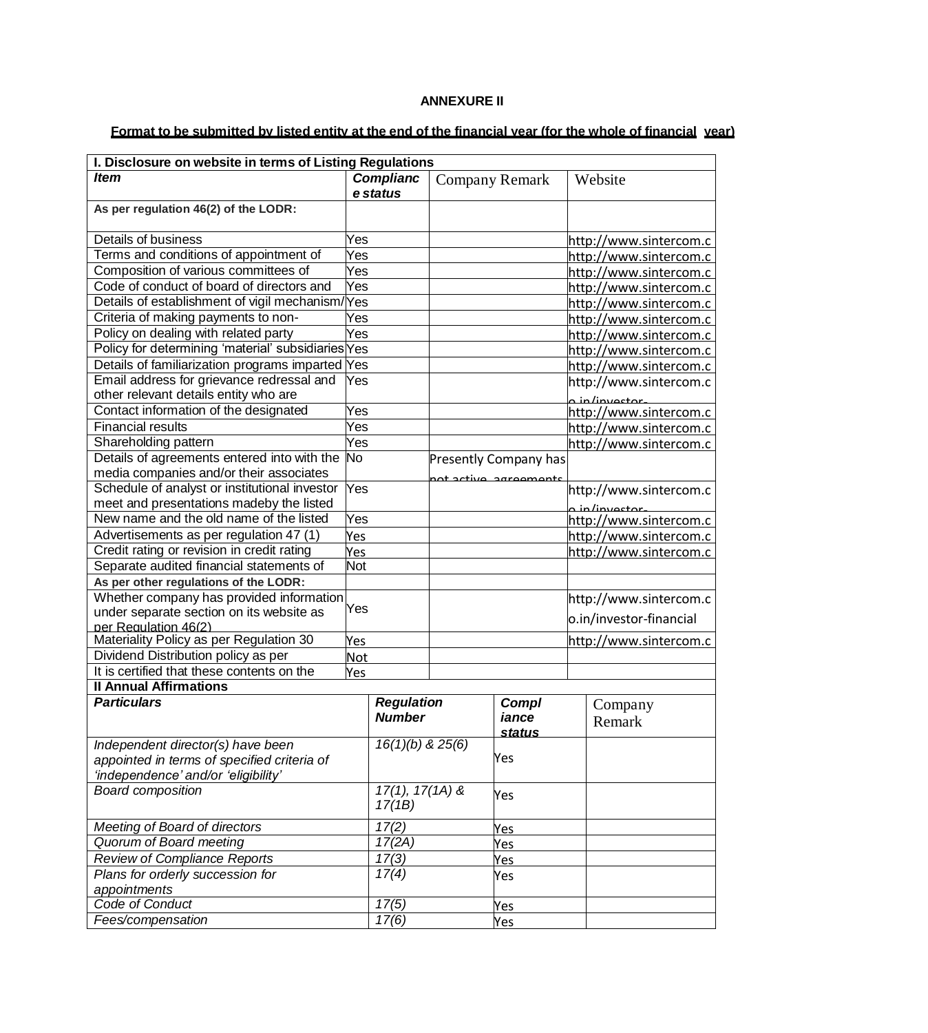### **ANNEXURE II**

# Format to be submitted by listed entity at the end of the financial year (for the whole of financial year)

| I. Disclosure on website in terms of Listing Regulations                                                    |                   |                              |     |                              |         |                         |
|-------------------------------------------------------------------------------------------------------------|-------------------|------------------------------|-----|------------------------------|---------|-------------------------|
| <b>Item</b>                                                                                                 |                   | <b>Complianc</b>             |     | <b>Company Remark</b>        | Website |                         |
|                                                                                                             |                   | e status                     |     |                              |         |                         |
| As per regulation 46(2) of the LODR:                                                                        |                   |                              |     |                              |         |                         |
|                                                                                                             | Yes               |                              |     |                              |         |                         |
| Details of business                                                                                         |                   |                              |     |                              |         | http://www.sintercom.c  |
| Terms and conditions of appointment of<br>Yes                                                               |                   |                              |     |                              |         | http://www.sintercom.c  |
| Composition of various committees of<br>Yes                                                                 |                   |                              |     |                              |         | http://www.sintercom.c  |
| Code of conduct of board of directors and                                                                   | Yes               |                              |     |                              |         | http://www.sintercom.c  |
| Details of establishment of vigil mechanism/Yes                                                             |                   |                              |     |                              |         | http://www.sintercom.c  |
| Criteria of making payments to non-                                                                         | Yes               |                              |     |                              |         | http://www.sintercom.c  |
| Policy on dealing with related party                                                                        | Yes               |                              |     |                              |         | http://www.sintercom.c  |
| Policy for determining 'material' subsidiaries Yes                                                          |                   |                              |     |                              |         | http://www.sintercom.c  |
| Details of familiarization programs imparted Yes                                                            |                   |                              |     |                              |         | http://www.sintercom.c  |
| Email address for grievance redressal and                                                                   | Yes               |                              |     |                              |         | http://www.sintercom.c  |
| other relevant details entity who are                                                                       |                   |                              |     |                              |         | a in/invector.          |
| Contact information of the designated                                                                       | Yes               |                              |     |                              |         | http://www.sintercom.c  |
| <b>Financial results</b>                                                                                    | Yes               |                              |     |                              |         | http://www.sintercom.c  |
| Shareholding pattern                                                                                        | Yes<br>No         |                              |     |                              |         | http://www.sintercom.c  |
| Details of agreements entered into with the                                                                 |                   |                              |     | <b>Presently Company has</b> |         |                         |
| media companies and/or their associates<br>Yes                                                              |                   |                              |     | not active agreements        |         |                         |
| Schedule of analyst or institutional investor                                                               |                   |                              |     |                              |         | http://www.sintercom.c  |
| meet and presentations madeby the listed<br>New name and the old name of the listed                         |                   |                              |     |                              |         | a in/investor           |
| Yes                                                                                                         |                   |                              |     |                              |         | http://www.sintercom.c  |
| Advertisements as per regulation 47 (1)<br>Yes                                                              |                   |                              |     |                              |         | http://www.sintercom.c  |
| Credit rating or revision in credit rating<br>Yes<br>Separate audited financial statements of<br><b>Not</b> |                   |                              |     |                              |         | http://www.sintercom.c  |
|                                                                                                             |                   |                              |     |                              |         |                         |
| As per other regulations of the LODR:                                                                       |                   |                              |     |                              |         |                         |
| Whether company has provided information<br>Yes                                                             |                   |                              |     |                              |         | http://www.sintercom.c  |
| under separate section on its website as<br>per Regulation 46(2)                                            |                   |                              |     |                              |         | o.in/investor-financial |
| Materiality Policy as per Regulation 30                                                                     |                   |                              |     |                              |         | http://www.sintercom.c  |
| Dividend Distribution policy as per                                                                         | Yes<br><b>Not</b> |                              |     |                              |         |                         |
| It is certified that these contents on the                                                                  | Yes               |                              |     |                              |         |                         |
| <b>Il Annual Affirmations</b>                                                                               |                   |                              |     |                              |         |                         |
| <b>Particulars</b>                                                                                          |                   | <b>Regulation</b>            |     | <b>Compl</b>                 |         | Company                 |
|                                                                                                             |                   | <b>Number</b>                |     | iance                        |         | Remark                  |
|                                                                                                             |                   |                              |     | <b>status</b>                |         |                         |
| Independent director(s) have been                                                                           |                   | $16(1)(b)$ & $25(6)$         |     |                              |         |                         |
| appointed in terms of specified criteria of                                                                 |                   |                              |     | Yes                          |         |                         |
| 'independence' and/or 'eligibility'                                                                         |                   |                              |     |                              |         |                         |
| <b>Board composition</b>                                                                                    |                   | $\overline{17}(1), 17(1A)$ & |     | Yes                          |         |                         |
|                                                                                                             |                   | 17(1B)                       |     |                              |         |                         |
| Meeting of Board of directors                                                                               |                   | 17(2)                        |     | Yes                          |         |                         |
| Quorum of Board meeting                                                                                     |                   | 17(2A)                       |     | Yes                          |         |                         |
| <b>Review of Compliance Reports</b>                                                                         |                   | 17(3)                        | Yes |                              |         |                         |
| Plans for orderly succession for                                                                            |                   | 17(4)                        |     | Yes                          |         |                         |
| appointments                                                                                                |                   |                              |     |                              |         |                         |
| Code of Conduct                                                                                             |                   | 17(5)                        |     | Yes                          |         |                         |
| Fees/compensation                                                                                           |                   | 17(6)                        |     | Yes                          |         |                         |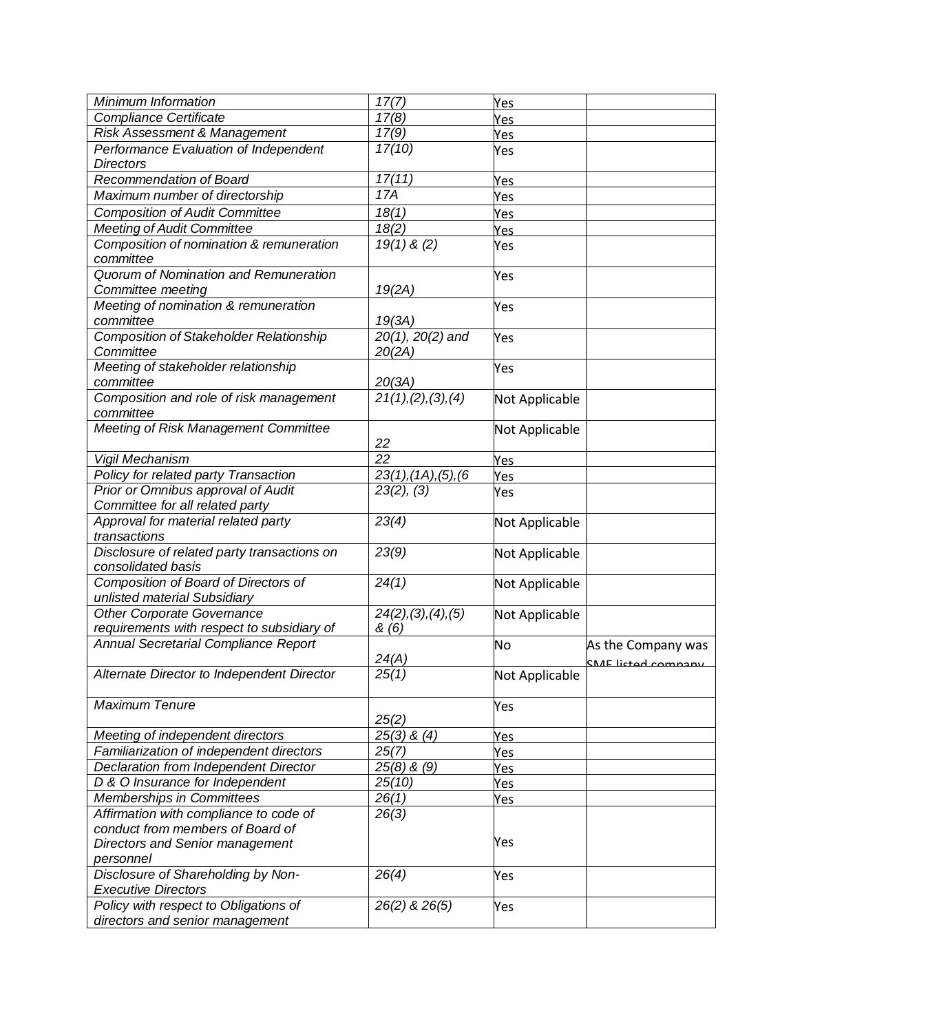| Minimum Information                                  | 17(7)                             | Yes            |                    |
|------------------------------------------------------|-----------------------------------|----------------|--------------------|
| Compliance Certificate                               | 17(8)                             | Yes            |                    |
| Risk Assessment & Management                         | 17(9)                             | Yes            |                    |
| Performance Evaluation of Independent                | 17(10)                            | Yes            |                    |
| <b>Directors</b>                                     |                                   |                |                    |
| Recommendation of Board                              | 17(11)                            | Yes            |                    |
| Maximum number of directorship                       | 17A                               | Yes            |                    |
| <b>Composition of Audit Committee</b>                | 18(1)                             | Yes            |                    |
| <b>Meeting of Audit Committee</b>                    | 18(2)                             | Yes            |                    |
| Composition of nomination & remuneration             | $19(1)$ & (2)                     | Yes            |                    |
| committee                                            |                                   |                |                    |
| Quorum of Nomination and Remuneration                |                                   | Yes            |                    |
| Committee meeting                                    | 19(2A)                            |                |                    |
| Meeting of nomination & remuneration                 |                                   | Yes            |                    |
| committee                                            | 19(3A)                            |                |                    |
| <b>Composition of Stakeholder Relationship</b>       | 20(1), 20(2) and                  | Yes            |                    |
| Committee                                            | 20(2A)                            |                |                    |
| Meeting of stakeholder relationship                  |                                   | Yes            |                    |
| committee                                            | 20(3A)                            |                |                    |
| Composition and role of risk management<br>committee | $\overline{2}1(1), (2), (3), (4)$ | Not Applicable |                    |
| Meeting of Risk Management Committee                 |                                   | Not Applicable |                    |
|                                                      | 22                                |                |                    |
| Vigil Mechanism                                      | 22                                | Yes            |                    |
| Policy for related party Transaction                 | 23(1), (1A), (5), (6)             | Yes            |                    |
| Prior or Omnibus approval of Audit                   | 23(2), (3)                        | Yes            |                    |
| Committee for all related party                      |                                   |                |                    |
| Approval for material related party                  | 23(4)                             | Not Applicable |                    |
| transactions                                         |                                   |                |                    |
| Disclosure of related party transactions on          | 23(9)                             | Not Applicable |                    |
| consolidated basis                                   |                                   |                |                    |
| Composition of Board of Directors of                 | 24(1)                             | Not Applicable |                    |
| unlisted material Subsidiary                         |                                   |                |                    |
| <b>Other Corporate Governance</b>                    | 24(2), (3), (4), (5)              | Not Applicable |                    |
| requirements with respect to subsidiary of           | &(6)                              |                |                    |
| Annual Secretarial Compliance Report                 |                                   | No             | As the Company was |
|                                                      | 24(A)                             |                |                    |
| Alternate Director to Independent Director           | 25(1)                             | Not Applicable | CME listed company |
|                                                      |                                   |                |                    |
| <b>Maximum Tenure</b>                                |                                   | Yes            |                    |
|                                                      | 25(2)                             |                |                    |
| Meeting of independent directors                     | $25(3)$ & $(4)$                   | Yes            |                    |
| Familiarization of independent directors             | 25(7)                             | Yes            |                    |
| Declaration from Independent Director                | $25(8)$ & $(9)$                   | Yes            |                    |
| D & O Insurance for Independent                      | 25(10)                            | Yes            |                    |
| Memberships in Committees                            | 26(1)                             | Yes            |                    |
| Affirmation with compliance to code of               | 26(3)                             |                |                    |
| conduct from members of Board of                     |                                   |                |                    |
| <b>Directors and Senior management</b>               |                                   | Yes            |                    |
| personnel                                            |                                   |                |                    |
| Disclosure of Shareholding by Non-                   | 26(4)                             | Yes            |                    |
| <b>Executive Directors</b>                           |                                   |                |                    |
| Policy with respect to Obligations of                | 26(2) & 26(5)                     | Yes            |                    |
| directors and senior management                      |                                   |                |                    |
|                                                      |                                   |                |                    |